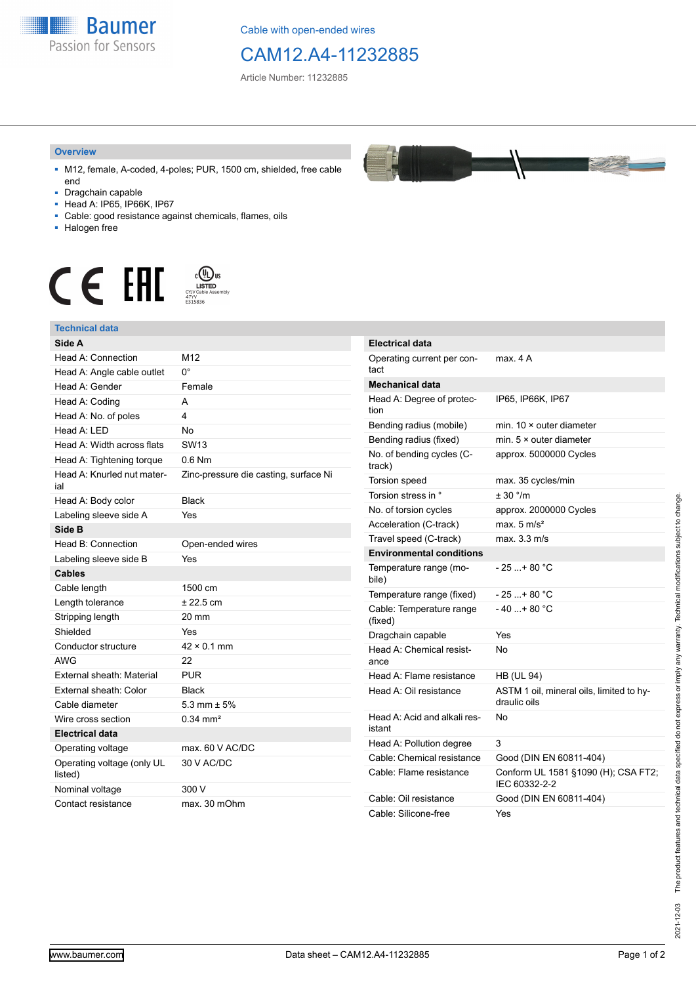

Cable with open-ended wires

## CAM12.A4-11232885

Article Number: 11232885

## **Overview**

- M12, female, A-coded, 4-poles; PUR, 1500 cm, shielded, free cable end
- Dragchain capable
- Head A: IP65, IP66K, IP67
- Cable: good resistance against chemicals, flames, oils
- Halogen free



## **Technical data**

| Side A                                |                                       | Elect           |
|---------------------------------------|---------------------------------------|-----------------|
| Head A: Connection                    | M12                                   | Oper            |
| Head A: Angle cable outlet            | $0^{\circ}$                           | tact            |
| Head A: Gender                        | Female                                | Mech            |
| Head A: Coding                        | A                                     | Head            |
| Head A: No. of poles                  | 4                                     | tion            |
| Head A: LED                           | No                                    | Bend            |
| Head A: Width across flats            | <b>SW13</b>                           | Bend            |
| Head A: Tightening torque             | $0.6$ Nm                              | No. o<br>track) |
| Head A: Knurled nut mater-            | Zinc-pressure die casting, surface Ni | Torsio          |
| ial                                   |                                       | Torsio          |
| Head A: Body color                    | <b>Black</b>                          | No.o            |
| Labeling sleeve side A                | Yes                                   | Accel           |
| Side B                                |                                       | Trave           |
| Head B: Connection                    | Open-ended wires                      | Envir           |
| Labeling sleeve side B                | Yes                                   | Temp            |
| <b>Cables</b>                         |                                       | bile)           |
| Cable length                          | 1500 cm                               | Temp            |
| Length tolerance                      | $± 22.5$ cm                           | Cable           |
| Stripping length                      | 20 mm                                 | (fixed          |
| Shielded                              | Yes                                   | <b>Drago</b>    |
| Conductor structure                   | $42 \times 0.1$ mm                    | Head            |
| <b>AWG</b>                            | 22                                    | ance            |
| External sheath: Material             | <b>PUR</b>                            | Head            |
| External sheath: Color                | <b>Black</b>                          | Head            |
| Cable diameter                        | 5.3 mm $\pm$ 5%                       |                 |
| Wire cross section                    | $0.34 \text{ mm}^2$                   | Head<br>istant  |
| <b>Electrical data</b>                |                                       | Head            |
| Operating voltage                     | max. 60 V AC/DC                       | Cable           |
| Operating voltage (only UL<br>listed) | 30 V AC/DC                            | Cable           |
| Nominal voltage                       | 300 V                                 |                 |
| Contact resistance                    | max. 30 mOhm                          | Cable<br>Cable  |



| <b>Electrical data</b>                 |                                                          |
|----------------------------------------|----------------------------------------------------------|
| Operating current per con-<br>tact     | max. 4A                                                  |
| <b>Mechanical data</b>                 |                                                          |
| Head A: Degree of protec-<br>tion      | IP65, IP66K, IP67                                        |
| Bending radius (mobile)                | min. $10 \times$ outer diameter                          |
| Bending radius (fixed)                 | min. $5 \times$ outer diameter                           |
| No. of bending cycles (C-<br>track)    | approx. 5000000 Cycles                                   |
| Torsion speed                          | max. 35 cycles/min                                       |
| Torsion stress in °                    | $+30$ °/m                                                |
| No. of torsion cycles                  | approx. 2000000 Cycles                                   |
| Acceleration (C-track)                 | max. $5 \text{ m/s}^2$                                   |
| Travel speed (C-track)                 | max. 3.3 m/s                                             |
| <b>Environmental conditions</b>        |                                                          |
| Temperature range (mo-<br>bile)        | - 25 + 80 °C                                             |
| Temperature range (fixed)              | $-25+80 °C$                                              |
| Cable: Temperature range<br>(fixed)    | - 40 + 80 °C                                             |
| Dragchain capable                      | Yes                                                      |
| Head A: Chemical resist-<br>ance       | N٥                                                       |
| Head A: Flame resistance               | <b>HB (UL 94)</b>                                        |
| Head A: Oil resistance                 | ASTM 1 oil, mineral oils, limited to hy-<br>draulic oils |
| Head A: Acid and alkali res-<br>istant | N٥                                                       |
| Head A: Pollution degree               | 3                                                        |
| Cable: Chemical resistance             | Good (DIN EN 60811-404)                                  |
| Cable: Flame resistance                | Conform UL 1581 §1090 (H); CSA FT2;<br>IEC 60332-2-2     |
| Cable: Oil resistance                  | Good (DIN EN 60811-404)                                  |
| Cable: Silicone-free                   | Yes                                                      |